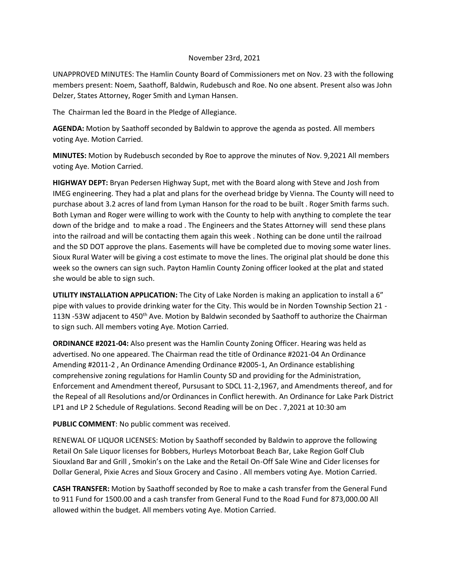## November 23rd, 2021

UNAPPROVED MINUTES: The Hamlin County Board of Commissioners met on Nov. 23 with the following members present: Noem, Saathoff, Baldwin, Rudebusch and Roe. No one absent. Present also was John Delzer, States Attorney, Roger Smith and Lyman Hansen.

The Chairman led the Board in the Pledge of Allegiance.

**AGENDA:** Motion by Saathoff seconded by Baldwin to approve the agenda as posted. All members voting Aye. Motion Carried.

**MINUTES:** Motion by Rudebusch seconded by Roe to approve the minutes of Nov. 9,2021 All members voting Aye. Motion Carried.

**HIGHWAY DEPT:** Bryan Pedersen Highway Supt, met with the Board along with Steve and Josh from IMEG engineering. They had a plat and plans for the overhead bridge by Vienna. The County will need to purchase about 3.2 acres of land from Lyman Hanson for the road to be built . Roger Smith farms such. Both Lyman and Roger were willing to work with the County to help with anything to complete the tear down of the bridge and to make a road . The Engineers and the States Attorney will send these plans into the railroad and will be contacting them again this week . Nothing can be done until the railroad and the SD DOT approve the plans. Easements will have be completed due to moving some water lines. Sioux Rural Water will be giving a cost estimate to move the lines. The original plat should be done this week so the owners can sign such. Payton Hamlin County Zoning officer looked at the plat and stated she would be able to sign such.

**UTILITY INSTALLATION APPLICATION:** The City of Lake Norden is making an application to install a 6" pipe with values to provide drinking water for the City. This would be in Norden Township Section 21 - 113N -53W adjacent to 450<sup>th</sup> Ave. Motion by Baldwin seconded by Saathoff to authorize the Chairman to sign such. All members voting Aye. Motion Carried.

**ORDINANCE #2021-04:** Also present was the Hamlin County Zoning Officer. Hearing was held as advertised. No one appeared. The Chairman read the title of Ordinance #2021-04 An Ordinance Amending #2011-2 , An Ordinance Amending Ordinance #2005-1, An Ordinance establishing comprehensive zoning regulations for Hamlin County SD and providing for the Administration, Enforcement and Amendment thereof, Pursusant to SDCL 11-2,1967, and Amendments thereof, and for the Repeal of all Resolutions and/or Ordinances in Conflict herewith. An Ordinance for Lake Park District LP1 and LP 2 Schedule of Regulations. Second Reading will be on Dec . 7,2021 at 10:30 am

**PUBLIC COMMENT**: No public comment was received.

RENEWAL OF LIQUOR LICENSES: Motion by Saathoff seconded by Baldwin to approve the following Retail On Sale Liquor licenses for Bobbers, Hurleys Motorboat Beach Bar, Lake Region Golf Club Siouxland Bar and Grill , Smokin's on the Lake and the Retail On-Off Sale Wine and Cider licenses for Dollar General, Pixie Acres and Sioux Grocery and Casino . All members voting Aye. Motion Carried.

**CASH TRANSFER:** Motion by Saathoff seconded by Roe to make a cash transfer from the General Fund to 911 Fund for 1500.00 and a cash transfer from General Fund to the Road Fund for 873,000.00 All allowed within the budget. All members voting Aye. Motion Carried.